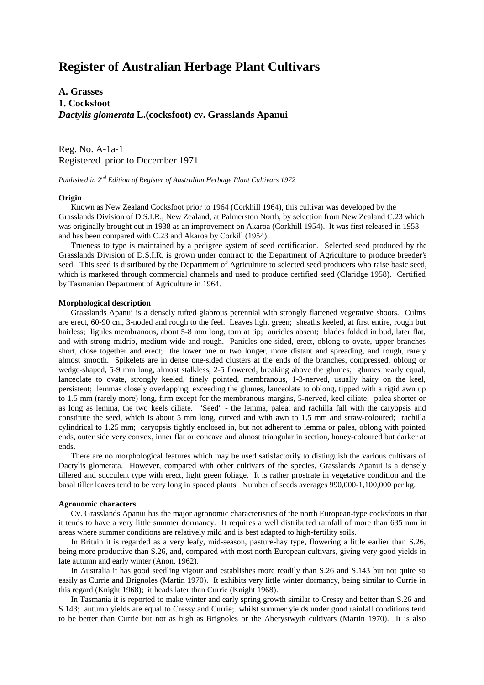# **Register of Australian Herbage Plant Cultivars**

# **A. Grasses 1. Cocksfoot** *Dactylis glomerata* **L.(cocksfoot) cv. Grasslands Apanui**

Reg. No. A-1a-1 Registered prior to December 1971

*Published in 2nd Edition of Register of Australian Herbage Plant Cultivars 1972*

#### **Origin**

 Known as New Zealand Cocksfoot prior to 1964 (Corkhill 1964), this cultivar was developed by the Grasslands Division of D.S.I.R., New Zealand, at Palmerston North, by selection from New Zealand C.23 which was originally brought out in 1938 as an improvement on Akaroa (Corkhill 1954). It was first released in 1953 and has been compared with C.23 and Akaroa by Corkill (1954).

 Trueness to type is maintained by a pedigree system of seed certification. Selected seed produced by the Grasslands Division of D.S.I.R. is grown under contract to the Department of Agriculture to produce breeder's seed. This seed is distributed by the Department of Agriculture to selected seed producers who raise basic seed, which is marketed through commercial channels and used to produce certified seed (Claridge 1958). Certified by Tasmanian Department of Agriculture in 1964.

### **Morphological description**

 Grasslands Apanui is a densely tufted glabrous perennial with strongly flattened vegetative shoots. Culms are erect, 60-90 cm, 3-noded and rough to the feel. Leaves light green; sheaths keeled, at first entire, rough but hairless; ligules membranous, about 5-8 mm long, torn at tip; auricles absent; blades folded in bud, later flat, and with strong midrib, medium wide and rough. Panicles one-sided, erect, oblong to ovate, upper branches short, close together and erect; the lower one or two longer, more distant and spreading, and rough, rarely almost smooth. Spikelets are in dense one-sided clusters at the ends of the branches, compressed, oblong or wedge-shaped, 5-9 mm long, almost stalkless, 2-5 flowered, breaking above the glumes; glumes nearly equal, lanceolate to ovate, strongly keeled, finely pointed, membranous, 1-3-nerved, usually hairy on the keel, persistent; lemmas closely overlapping, exceeding the glumes, lanceolate to oblong, tipped with a rigid awn up to 1.5 mm (rarely more) long, firm except for the membranous margins, 5-nerved, keel ciliate; palea shorter or as long as lemma, the two keels ciliate. "Seed" - the lemma, palea, and rachilla fall with the caryopsis and constitute the seed, which is about 5 mm long, curved and with awn to 1.5 mm and straw-coloured; rachilla cylindrical to 1.25 mm; caryopsis tightly enclosed in, but not adherent to lemma or palea, oblong with pointed ends, outer side very convex, inner flat or concave and almost triangular in section, honey-coloured but darker at ends.

 There are no morphological features which may be used satisfactorily to distinguish the various cultivars of Dactylis glomerata. However, compared with other cultivars of the species, Grasslands Apanui is a densely tillered and succulent type with erect, light green foliage. It is rather prostrate in vegetative condition and the basal tiller leaves tend to be very long in spaced plants. Number of seeds averages 990,000-1,100,000 per kg.

#### **Agronomic characters**

 Cv. Grasslands Apanui has the major agronomic characteristics of the north European-type cocksfoots in that it tends to have a very little summer dormancy. It requires a well distributed rainfall of more than 635 mm in areas where summer conditions are relatively mild and is best adapted to high-fertility soils.

 In Britain it is regarded as a very leafy, mid-season, pasture-hay type, flowering a little earlier than S.26, being more productive than S.26, and, compared with most north European cultivars, giving very good yields in late autumn and early winter (Anon. 1962).

 In Australia it has good seedling vigour and establishes more readily than S.26 and S.143 but not quite so easily as Currie and Brignoles (Martin 1970). It exhibits very little winter dormancy, being similar to Currie in this regard (Knight 1968); it heads later than Currie (Knight 1968).

 In Tasmania it is reported to make winter and early spring growth similar to Cressy and better than S.26 and S.143; autumn yields are equal to Cressy and Currie; whilst summer yields under good rainfall conditions tend to be better than Currie but not as high as Brignoles or the Aberystwyth cultivars (Martin 1970). It is also